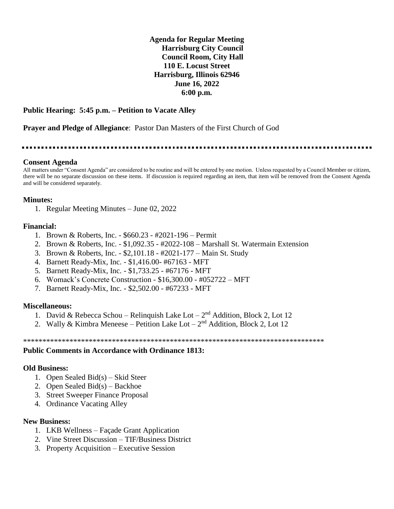**Agenda for Regular Meeting Harrisburg City Council Council Room, City Hall 110 E. Locust Street Harrisburg, Illinois 62946 June 16, 2022 6:00 p.m.**

#### **Public Hearing: 5:45 p.m. – Petition to Vacate Alley**

**Prayer and Pledge of Allegiance**: Pastor Dan Masters of the First Church of God

#### **Consent Agenda**

All matters under "Consent Agenda" are considered to be routine and will be entered by one motion. Unless requested by a Council Member or citizen, there will be no separate discussion on these items. If discussion is required regarding an item, that item will be removed from the Consent Agenda and will be considered separately.

### **Minutes:**

1. Regular Meeting Minutes – June 02, 2022

### **Financial:**

- 1. Brown & Roberts, Inc. \$660.23 #2021-196 Permit
- 2. Brown & Roberts, Inc. \$1,092.35 #2022-108 Marshall St. Watermain Extension
- 3. Brown & Roberts, Inc. \$2,101.18 #2021-177 Main St. Study
- 4. Barnett Ready-Mix, Inc. \$1,416.00- #67163 MFT
- 5. Barnett Ready-Mix, Inc. \$1,733.25 #67176 MFT
- 6. Womack's Concrete Construction \$16,300.00 #052722 MFT
- 7. Barnett Ready-Mix, Inc. \$2,502.00 #67233 MFT

#### **Miscellaneous:**

- 1. David & Rebecca Schou Relinquish Lake Lot  $2<sup>nd</sup>$  Addition, Block 2, Lot 12
- 2. Wally & Kimbra Meneese Petition Lake Lot  $2<sup>nd</sup>$  Addition, Block 2, Lot 12

\*\*\*\*\*\*\*\*\*\*\*\*\*\*\*\*\*\*\*\*\*\*\*\*\*\*\*\*\*\*\*\*\*\*\*\*\*\*\*\*\*\*\*\*\*\*\*\*\*\*\*\*\*\*\*\*\*\*\*\*\*\*\*\*\*\*\*\*\*\*\*\*\*\*\*\*\*\*

#### **Public Comments in Accordance with Ordinance 1813:**

#### **Old Business:**

- 1. Open Sealed Bid(s) Skid Steer
- 2. Open Sealed Bid(s) Backhoe
- 3. Street Sweeper Finance Proposal
- 4. Ordinance Vacating Alley

#### **New Business:**

- 1. LKB Wellness Façade Grant Application
- 2. Vine Street Discussion TIF/Business District
- 3. Property Acquisition Executive Session